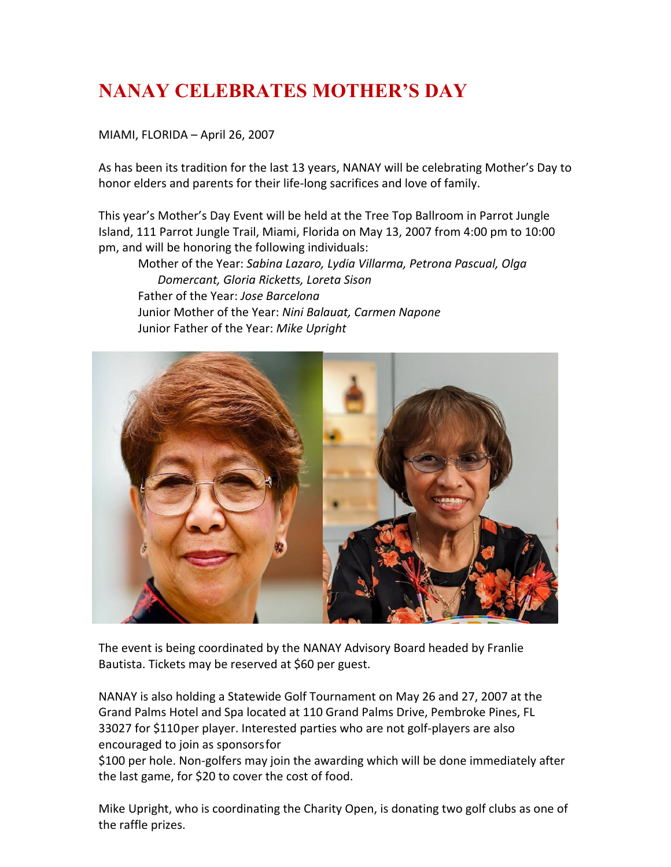## **NANAY CELEBRATES MOTHER'S DAY**

MIAMI, FLORIDA – April 26, 2007

As has been its tradition for the last 13 years, NANAY will be celebrating Mother's Day to honor elders and parents for their life-long sacrifices and love of family.

This year's Mother's Day Event will be held at the Tree Top Ballroom in Parrot Jungle Island, 111 Parrot Jungle Trail, Miami, Florida on May 13, 2007 from 4:00 pm to 10:00 pm, and will be honoring the following individuals:

Mother of the Year: *Sabina Lazaro, Lydia Villarma, Petrona Pascual, Olga Domercant, Gloria Ricketts, Loreta Sison* Father of the Year: *Jose Barcelona* Junior Mother of the Year: *Nini Balauat, Carmen Napone* Junior Father of the Year: *Mike Upright*



The event is being coordinated by the NANAY Advisory Board headed by Franlie Bautista. Tickets may be reserved at \$60 per guest.

NANAY is also holding a Statewide Golf Tournament on May 26 and 27, 2007 at the Grand Palms Hotel and Spa located at 110 Grand Palms Drive, Pembroke Pines, FL 33027 for \$110per player. Interested parties who are not golf-players are also encouraged to join as sponsorsfor

\$100 per hole. Non-golfers may join the awarding which will be done immediately after the last game, for \$20 to cover the cost of food.

Mike Upright, who is coordinating the Charity Open, is donating two golf clubs as one of the raffle prizes.